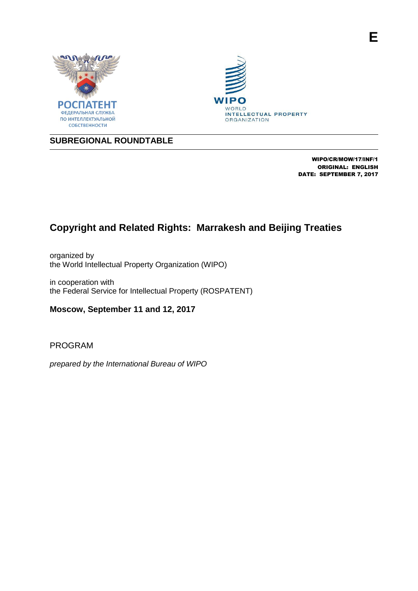





# **SUBREGIONAL ROUNDTABLE**

WIPO/CR/MOW/17/INF/1 ORIGINAL: ENGLISH DATE: SEPTEMBER 7, 2017

# **Copyright and Related Rights: Marrakesh and Beijing Treaties**

organized by the World Intellectual Property Organization (WIPO)

in cooperation with the Federal Service for Intellectual Property (ROSPATENT)

**Moscow, September 11 and 12, 2017**

PROGRAM

*prepared by the International Bureau of WIPO*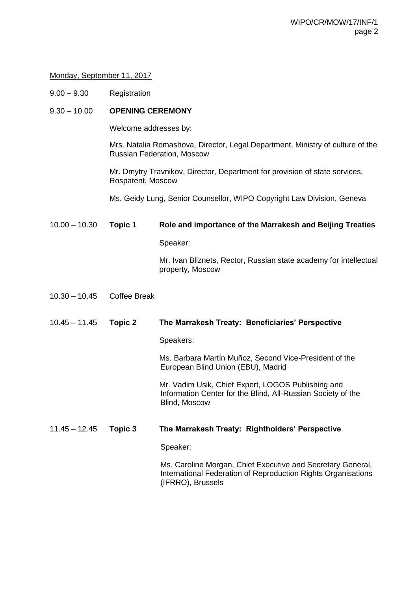#### Monday, September 11, 2017

9.00 – 9.30 Registration

### 9.30 – 10.00 **OPENING CEREMONY**

Welcome addresses by:

Mrs. Natalia Romashova, Director, Legal Department, Ministry of culture of the Russian Federation, Moscow

Mr. Dmytry Travnikov, Director, Department for provision of state services, Rospatent, Moscow

Ms. Geidy Lung, Senior Counsellor, WIPO Copyright Law Division, Geneva

#### 10.00 – 10.30 **Topic 1 Role and importance of the Marrakesh and Beijing Treaties**

Speaker:

Mr. Ivan Bliznets, Rector, Russian state academy for intellectual property, Moscow

10.30 – 10.45 Coffee Break

### 10.45 – 11.45 **Topic 2 The Marrakesh Treaty: Beneficiaries' Perspective**

Speakers:

Ms. Barbara Martín Muñoz, Second Vice-President of the European Blind Union (EBU), Madrid

Mr. Vadim Usik, Chief Expert, LOGOS Publishing and Information Center for the Blind, All-Russian Society of the Blind, Moscow

#### 11.45 – 12.45 **Topic 3 The Marrakesh Treaty: Rightholders' Perspective**

Speaker:

Ms. Caroline Morgan, Chief Executive and Secretary General, International Federation of Reproduction Rights Organisations (IFRRO), Brussels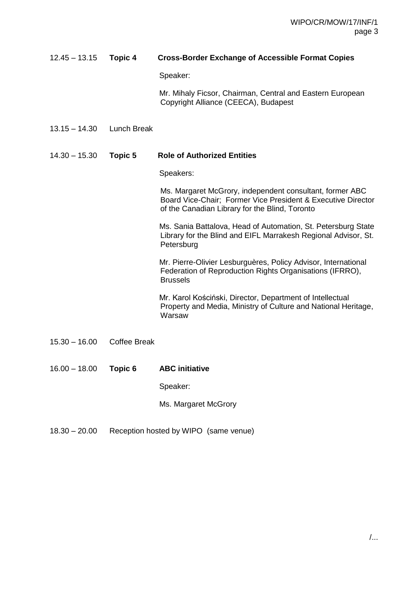## 12.45 – 13.15 **Topic 4 Cross-Border Exchange of Accessible Format Copies**

Speaker:

Mr. Mihaly Ficsor, Chairman, Central and Eastern European Copyright Alliance (CEECA), Budapest

13.15 – 14.30 Lunch Break

### 14.30 – 15.30 **Topic 5 Role of Authorized Entities**

Speakers:

Ms. Margaret McGrory, independent consultant, former ABC Board Vice-Chair; Former Vice President & Executive Director of the Canadian Library for the Blind, Toronto

Ms. Sania Battalova, Head of Automation, St. Petersburg State Library for the Blind and EIFL Marrakesh Regional Advisor, St. **Petersburg** 

Mr. Pierre-Olivier Lesburguères, Policy Advisor, International Federation of Reproduction Rights Organisations (IFRRO), Brussels

Mr. Karol Kościński, Director, Department of Intellectual Property and Media, Ministry of Culture and National Heritage, Warsaw

- 15.30 16.00 Coffee Break
- 16.00 18.00 **Topic 6 ABC initiative**

Speaker:

Ms. Margaret McGrory

18.30 – 20.00 Reception hosted by WIPO (same venue)